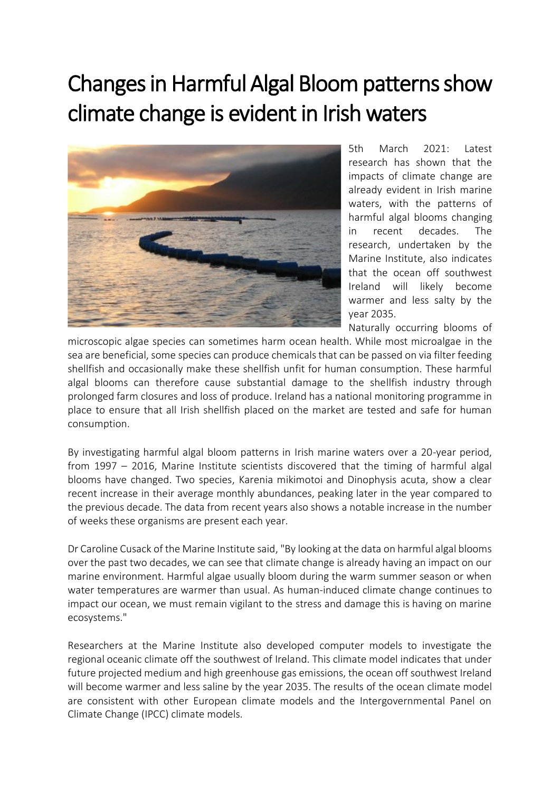# Changes in Harmful Algal Bloom patterns show climate change is evident in Irish waters



5th March 2021: Latest research has shown that the impacts of climate change are already evident in Irish marine waters, with the patterns of harmful algal blooms changing in recent decades. The research, undertaken by the Marine Institute, also indicates that the ocean off southwest Ireland will likely become warmer and less salty by the year 2035.

Naturally occurring blooms of

microscopic algae species can sometimes harm ocean health. While most microalgae in the sea are beneficial, some species can produce chemicals that can be passed on via filter feeding shellfish and occasionally make these shellfish unfit for human consumption. These harmful algal blooms can therefore cause substantial damage to the shellfish industry through prolonged farm closures and loss of produce. Ireland has a national monitoring programme in place to ensure that all Irish shellfish placed on the market are tested and safe for human consumption.

By investigating harmful algal bloom patterns in Irish marine waters over a 20-year period, from 1997 – 2016, Marine Institute scientists discovered that the timing of harmful algal blooms have changed. Two species, Karenia mikimotoi and Dinophysis acuta, show a clear recent increase in their average monthly abundances, peaking later in the year compared to the previous decade. The data from recent years also shows a notable increase in the number of weeks these organisms are present each year.

Dr Caroline Cusack of the Marine Institute said, "By looking at the data on harmful algal blooms over the past two decades, we can see that climate change is already having an impact on our marine environment. Harmful algae usually bloom during the warm summer season or when water temperatures are warmer than usual. As human-induced climate change continues to impact our ocean, we must remain vigilant to the stress and damage this is having on marine ecosystems."

Researchers at the Marine Institute also developed computer models to investigate the regional oceanic climate off the southwest of Ireland. This climate model indicates that under future projected medium and high greenhouse gas emissions, the ocean off southwest Ireland will become warmer and less saline by the year 2035. The results of the ocean climate model are consistent with other European climate models and the Intergovernmental Panel on Climate Change (IPCC) climate models.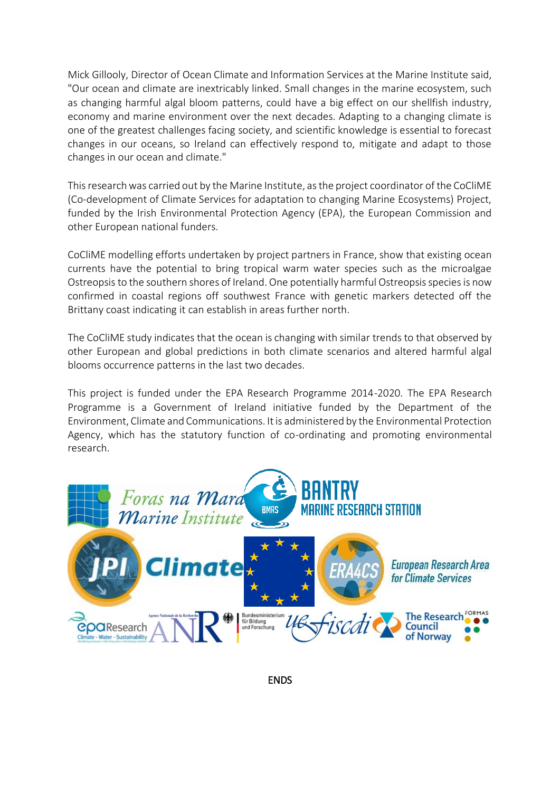Mick Gillooly, Director of Ocean Climate and Information Services at the Marine Institute said, "Our ocean and climate are inextricably linked. Small changes in the marine ecosystem, such as changing harmful algal bloom patterns, could have a big effect on our shellfish industry, economy and marine environment over the next decades. Adapting to a changing climate is one of the greatest challenges facing society, and scientific knowledge is essential to forecast changes in our oceans, so Ireland can effectively respond to, mitigate and adapt to those changes in our ocean and climate."

This research was carried out by the Marine Institute, as the project coordinator of the CoCliME (Co-development of Climate Services for adaptation to changing Marine Ecosystems) Project, funded by the Irish Environmental Protection Agency (EPA), the European Commission and other European national funders.

CoCliME modelling efforts undertaken by project partners in France, show that existing ocean currents have the potential to bring tropical warm water species such as the microalgae Ostreopsis to the southern shores of Ireland. One potentially harmful Ostreopsis species is now confirmed in coastal regions off southwest France with genetic markers detected off the Brittany coast indicating it can establish in areas further north.

The CoCliME study indicates that the ocean is changing with similar trends to that observed by other European and global predictions in both climate scenarios and altered harmful algal blooms occurrence patterns in the last two decades.

This project is funded under the EPA Research Programme 2014-2020. The EPA Research Programme is a Government of Ireland initiative funded by the Department of the Environment, Climate and Communications. It is administered by the Environmental Protection Agency, which has the statutory function of co-ordinating and promoting environmental research.